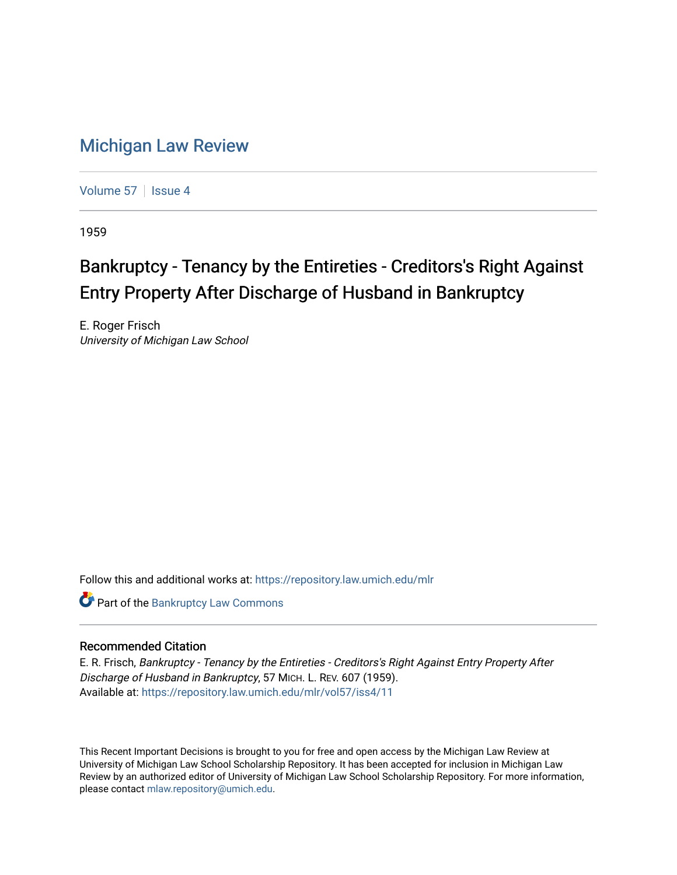## [Michigan Law Review](https://repository.law.umich.edu/mlr)

[Volume 57](https://repository.law.umich.edu/mlr/vol57) | [Issue 4](https://repository.law.umich.edu/mlr/vol57/iss4)

1959

## Bankruptcy - Tenancy by the Entireties - Creditors's Right Against Entry Property After Discharge of Husband in Bankruptcy

E. Roger Frisch University of Michigan Law School

Follow this and additional works at: [https://repository.law.umich.edu/mlr](https://repository.law.umich.edu/mlr?utm_source=repository.law.umich.edu%2Fmlr%2Fvol57%2Fiss4%2F11&utm_medium=PDF&utm_campaign=PDFCoverPages) 

**Part of the Bankruptcy Law Commons** 

## Recommended Citation

E. R. Frisch, Bankruptcy - Tenancy by the Entireties - Creditors's Right Against Entry Property After Discharge of Husband in Bankruptcy, 57 MICH. L. REV. 607 (1959). Available at: [https://repository.law.umich.edu/mlr/vol57/iss4/11](https://repository.law.umich.edu/mlr/vol57/iss4/11?utm_source=repository.law.umich.edu%2Fmlr%2Fvol57%2Fiss4%2F11&utm_medium=PDF&utm_campaign=PDFCoverPages) 

This Recent Important Decisions is brought to you for free and open access by the Michigan Law Review at University of Michigan Law School Scholarship Repository. It has been accepted for inclusion in Michigan Law Review by an authorized editor of University of Michigan Law School Scholarship Repository. For more information, please contact [mlaw.repository@umich.edu.](mailto:mlaw.repository@umich.edu)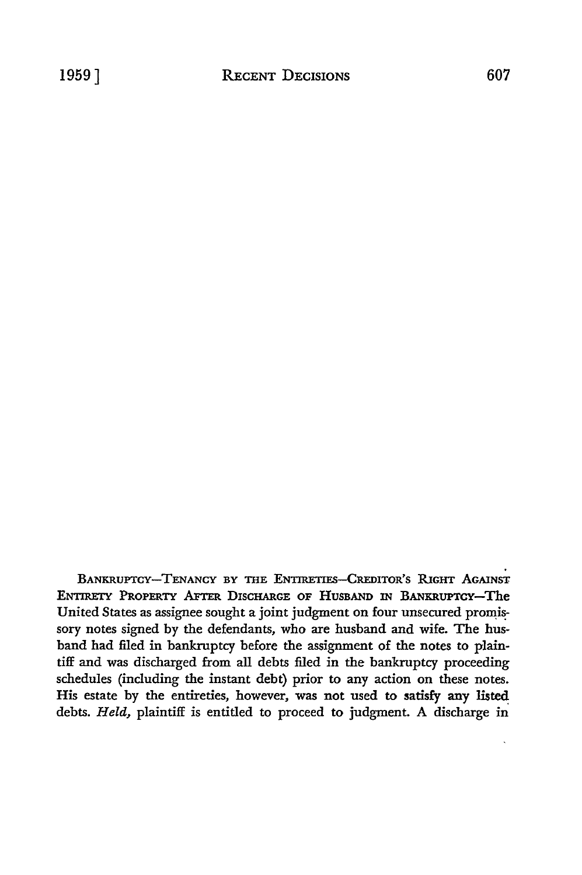BANKRUPTCY-TENANCY BY THE ENTIRETIES-CREDITOR'S RIGHT AGAINST ENTIRETY PROPERTY AFTER DISCHARGE OF HUSBAND IN BANKRUPTCY-The United States as assignee sought a joint judgment on four unsecured promissory notes signed **by** the defendants, who are husband and wife. The husband had filed in bankruptcy before the assignment of the notes to plaintiff and was discharged from all debts filed in the bankruptcy proceeding schedules (including the instant debt) prior to any action on these notes. His estate by the entireties, however, was not used to satisfy any listed debts. *Held,* plaintiff is entitled to proceed to judgment. A discharge in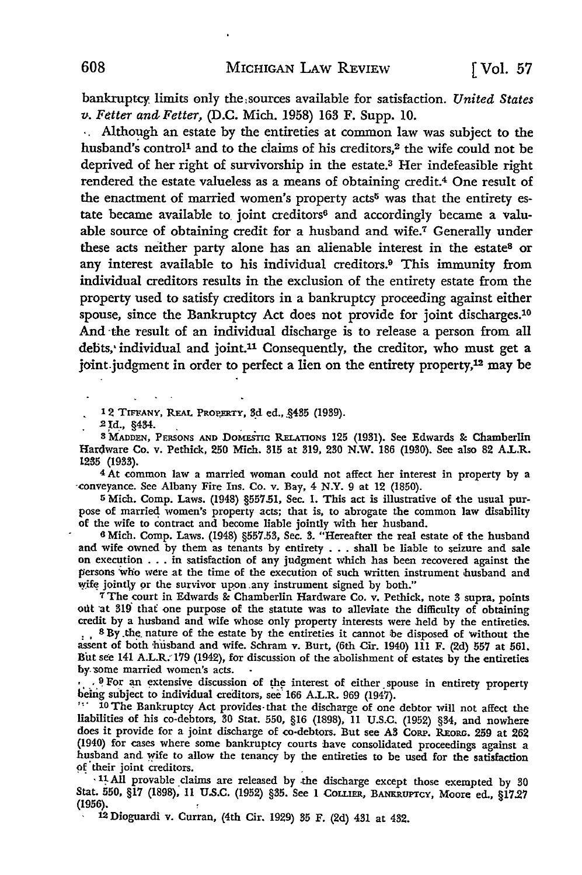bankruptcy limits only the sources available for satisfaction. *United States v. Fetter and Fetter,* **(D.C.** Mich. **1958) 163** F. Supp. **10.**

**.,** Although an estate by the entireties at common law was subject to the husband's control<sup>1</sup> and to the claims of his creditors,<sup>2</sup> the wife could not be deprived of her right of survivorship in the estate.<sup>3</sup> Her indefeasible right rendered the estate valueless as a means of obtaining credit.4 One result of the enactment of married women's property acts<sup>5</sup> was that the entirety estate became available to joint creditors<sup>6</sup> and accordingly became a valuable source of obtaining credit for a husband and wife.<sup>7</sup> Generally under these acts neither party alone has an alienable interest in the estate<sup>8</sup> or any interest available to his individual creditors.<sup>9</sup> This immunity from individual creditors results in the exclusion of the entirety estate from the property used to satisfy creditors in a bankruptcy proceeding against either spouse, since the Bankruptcy Act does not provide for joint discharges.<sup>10</sup> And the result of an individual discharge is to release a person from all debts, individual and joint.<sup>11</sup> Consequently, the creditor, who must get a joint judgment in order to perfect a lien on the entirety property,<sup>12</sup> may be

12 TIFFANY, REAL **PROPERTY, 3.d ed.,** .455 (1959). **2 Id.,** §434.

**S MADDEN,** PERSONS **AND** DosEsTTc RY.ELATIONS **125** (1951). See Edwards **&** Chamberlin Hardware Co. v. Pethick, **250** Mich. **315** at 319, **250** N.W. **186** (1950). See also **82** A.LR. **1285 (195).**

**<sup>4</sup>**At common law a married woman could not affect her interest in property by a -conveyance. See Albany Fire Ins. Co. v. Bay, 4 N.Y. 9 at 12 (1850).

**5** Mich. Comp. Laws. (1948) §557.51, Sec. **1.** This act is illustrative of the usual purpose of married women's property acts; that is, to abrogate the common law disability of the wife to contract and become liable jointly with her husband.

**6** Mich. Comp. Laws. (1948) **§557.53,** Sec. **3.** "Hereafter the real estate of the husband and wife owned **by** them as tenants **by** entirety **. ..** shall be liable to seizure and sale on execution **...** in satisfaction of any judgment which has been recovered against the persons who were at the time of the execution of such written instrument husband and wife jointy or the survivor upon .any instrument signed **by** both." r The court in Edwards &c Chamberlin Hardware Co. v. Pethick, note **3** supra, points

**ott** 'at **319** thaf one purpose of the statute was to alleviate the difficulty of obtaining credit **by** a husband and wife whose only property interests were held **by** the entireties. **: . <sup>8</sup>**By.the. nature of the estate **by** the entireties it cannot 'be disposed of without the assent of both **'hfisband** and wife. Schram v. Burt, (6th Cir. 1940) **111** F. (2d) **557** at **561.** But see 141 A.L.R. **179** (1942), for discussion of the abolishment of estates **by** the entireties by.some married women's acts.

<sup>1</sup> .9 For an extensive discussion of the interest of either spouse in entirety property being subject to individual creditors, see 166 A.L.R. 969 (1947).

<sup>111</sup> 10 The Bankruptcy Act provides that the discharge of one debtor will not affect the liabilities of his co-debtors, **50** Stat. **550, §16 (1898), 11 U.S.C. (1952)** §54, and nowhere does it provide for a joint discharge of co-debtors. But see A3 CORP. REORG. 259 at 262 (1940) for cases where some bankruptcy courts 'have consolidated proceedings against a husband and wife to allow the tenancy **by** the entireties to be used for the satisfaction **9f** their joint creditors.

**S11. All** provable claims are released by -the discharge except those exempted by **30** Stat. **550, §17 (1898),** 11 **U.S.C.** (1952) **§35.** See 1 COLIER, **BANKRUPTCY,** Moore ed., **§17.27 (1956).**

12 Dioguardi v. Curran, (4th Cir. **1929) 35** F. (2d) 431 at 432.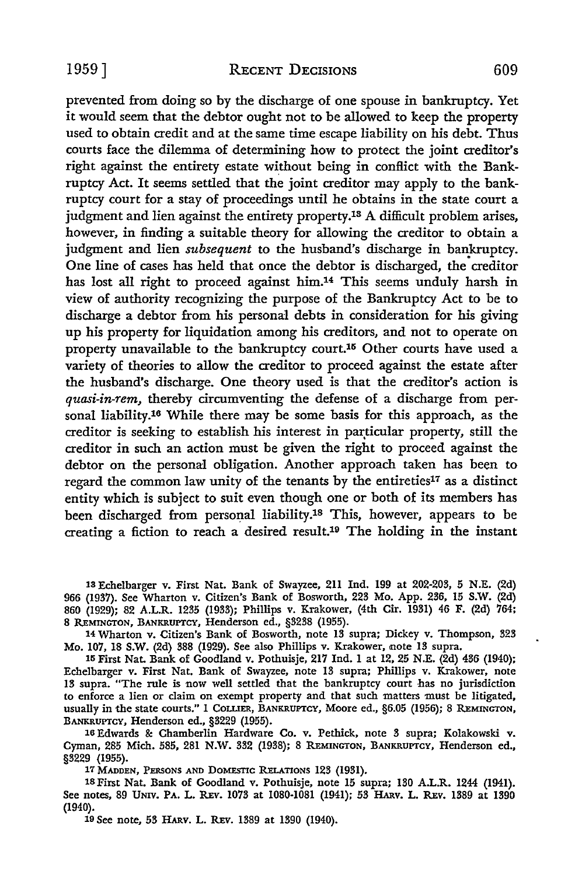prevented from doing so by the discharge of one spouse in bankruptcy. Yet it would seem that the debtor ought not to be allowed to keep the property used to obtain credit and at the same time escape liability on his debt. Thus courts face the dilemma of determining how to protect the joint creditor's right against the entirety estate without being in conflict with the Bankruptcy Act. It seems settled that the joint creditor may apply to the bankruptcy court for a stay of proceedings until he obtains in the state court a judgment and lien against the entirety property.13 A difficult problem arises, however, in finding a suitable theory for allowing the creditor to obtain a judgment and lien *subsequent* to the husband's discharge in bankruptcy. One line of cases has held that once the debtor is discharged, the creditor has lost all right to proceed against him.14 This seems unduly harsh in view of authority recognizing the purpose of the Bankruptcy Act to be to discharge a debtor from his personal debts in consideration for his giving up his property for liquidation among his creditors, and not to operate on property unavailable to the bankruptcy court.15 Other courts have used a variety of theories to allow the creditor to proceed against the estate after the husband's discharge. One theory used is that the creditor's action is *quasi-in-rem,* thereby circumventing the defense of a discharge from personal liability.18 While there may be some basis for this approach, as the creditor is seeking to establish his interest in particular property, still the creditor in such an action must be given the right to proceed against the debtor on the personal obligation. Another approach taken has been to regard the common law unity of the tenants by the entireties<sup>17</sup> as a distinct entity which is subject to suit even though one or both of its members has been discharged from personal liability.<sup>18</sup> This, however, appears to be creating a fiction to reach a desired result.19 The holding in the instant

Echelbarger v. First Nat. Bank of Swayzee, 211 Ind. **199** at 202-203, **5** N.E. (2d) (1987). See Wharton v. Citizen's Bank of Bosworth, 223 Mo. App. **236, 15** S.W. (2d) (1929); 82 A.L.R. **1235** (1933); Phillips v. Krakower, (4th Cir. 1931) 46 F. (2d) 764; 8 REMINGTON, BANKRUPTCY, Henderson ed., §3238 (1955).

14 Wharton v. Citizen's Bank of Bosworth, note 13 supra; Dickey v. Thompson, 323 Mo. 107, 18 S.W. (2d) **388 (1929).** See also Phillips v. Krakower, 'note 13 supra.

**<sup>15</sup>**First Nat. Bank of Goodland v. Pothuisje, 217 Ind. 1 at 12, **25** N.E. (2d) 436 (1940); Echelbarger v. First Nat. Bank of Swayzee, note 13 supra; Phillips v. Krakower, note 13 supra. "The rule is now well settled that the bankruptcy court has no jurisdiction to enforce a lien or claim on exempt property and that such matters must be litigated, usually in the state courts." 1 Coimua, BANrUPrcY, Moore ed., **§6.05** (1956); 8 **REMiNarON,** BANKRUPTCY, Henderson ed., §3229 **(1955).**

**16** Edwards & Chamberlin Hardware Co. v. Pethick, note **3** supra; Kolakowski v. Cyman, **285** Mich. **585, 281 N.W. 332** (1938); 8 **REMINGTON,** BANKRuPTcY, Henderson **ed., §3229 (1955).**

17 MADDEN, PERSONS AND DOMESTIC RELATIONS 123 (1931).

18First Nat. Bank of Goodland v. Pothuisje, note **15** supra; **130** A.L.R. 1244 (1941). See notes, **89 UNIV.** PA. L. *REv.* **1073** at **1080-1081** (1941); **53** HAiv. L. *REv.* **1389** at **1390** (1940).

**19** See note, **55** H .v. L. REv. **1389** at **1390** (1940).